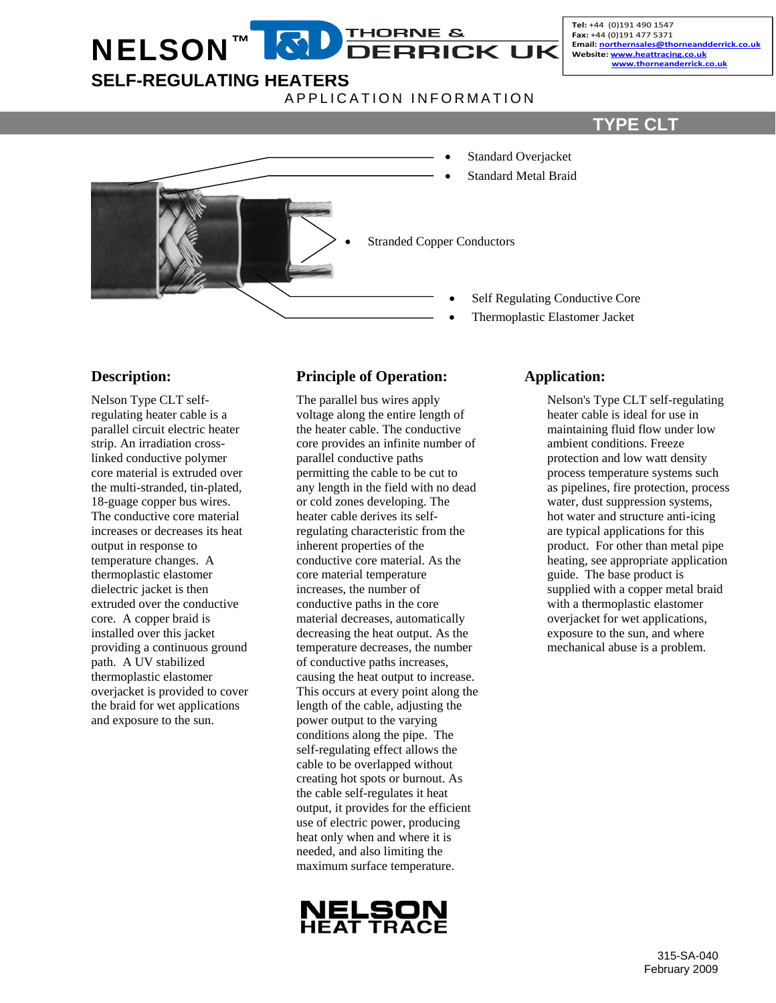#### **THORNE &**  $\mathbf{E}$ **NELSON DERRICK UK**

Tel: +44 (0)191 490 1547 Fax: +44 (0)191 477 5371 Email: northernsales@thorneandderrick.co.uk Website: www.heattracing.co.uk<br>www.thorneanderrick.co.uk

# **SELF-REGULATING HEATERS**

APPLICATION INFORMATION

# **TYPE CLT**



#### **Description:**

Nelson Type CLT selfregulating heater cable is a parallel circuit electric heater strip. An irradiation crosslinked conductive polymer core material is extruded over the multi-stranded, tin-plated, 18-guage copper bus wires. The conductive core material increases or decreases its heat output in response to temperature changes. A thermoplastic elastomer dielectric jacket is then extruded over the conductive core. A copper braid is installed over this jacket providing a continuous ground path. A UV stabilized thermoplastic elastomer overjacket is provided to cover the braid for wet applications and exposure to the sun.

## **Principle of Operation:**

The parallel bus wires apply voltage along the entire length of the heater cable. The conductive core provides an infinite number of parallel conductive paths permitting the cable to be cut to any length in the field with no dead or cold zones developing. The heater cable derives its selfregulating characteristic from the inherent properties of the conductive core material. As the core material temperature increases, the number of conductive paths in the core material decreases, automatically decreasing the heat output. As the temperature decreases, the number of conductive paths increases, causing the heat output to increase. This occurs at every point along the length of the cable, adjusting the power output to the varying conditions along the pipe. The self-regulating effect allows the cable to be overlapped without creating hot spots or burnout. As the cable self-regulates it heat output, it provides for the efficient use of electric power, producing heat only when and where it is needed, and also limiting the maximum surface temperature.



#### **Application:**

Nelson's Type CLT self-regulating heater cable is ideal for use in maintaining fluid flow under low ambient conditions. Freeze protection and low watt density process temperature systems such as pipelines, fire protection, process water, dust suppression systems, hot water and structure anti-icing are typical applications for this product. For other than metal pipe heating, see appropriate application guide. The base product is supplied with a copper metal braid with a thermoplastic elastomer overjacket for wet applications, exposure to the sun, and where mechanical abuse is a problem.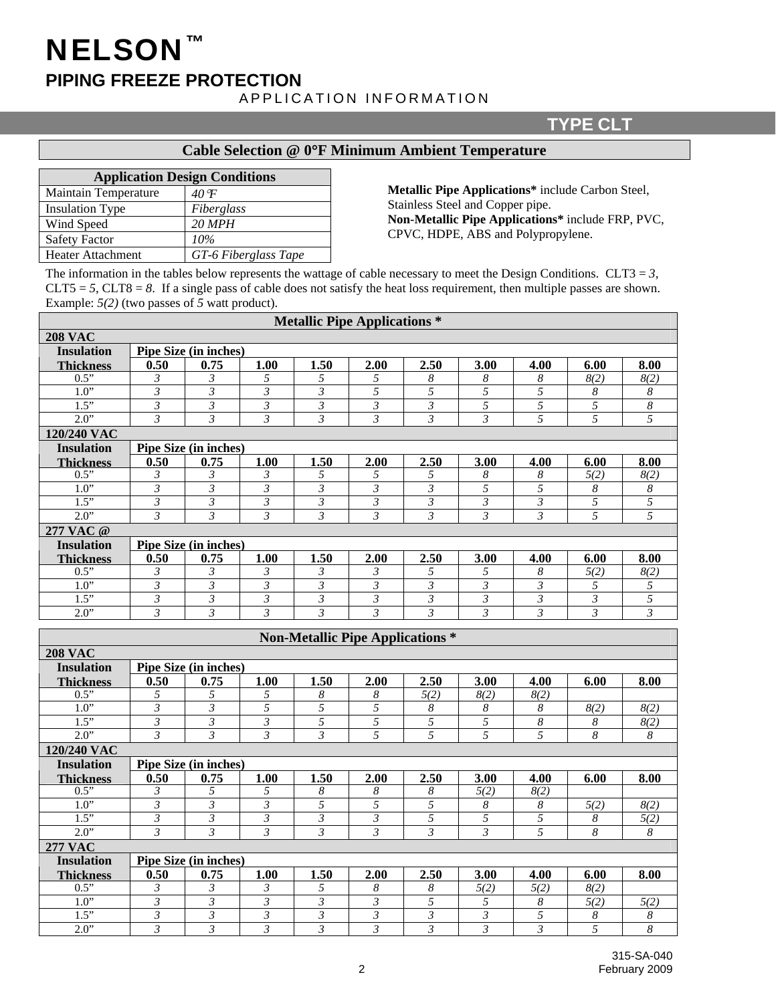# NELSON™ **PIPING FREEZE PROTECTION**

#### APPLICATION INFORMATION

#### **TYPE CLT**

#### **Cable Selection @ 0**°**F Minimum Ambient Temperature**

| <b>Application Design Conditions</b> |  |  |  |  |  |  |  |  |  |
|--------------------------------------|--|--|--|--|--|--|--|--|--|
| 40 F                                 |  |  |  |  |  |  |  |  |  |
| Fiberglass                           |  |  |  |  |  |  |  |  |  |
| $20$ MPH                             |  |  |  |  |  |  |  |  |  |
| 10%                                  |  |  |  |  |  |  |  |  |  |
| GT-6 Fiberglass Tape                 |  |  |  |  |  |  |  |  |  |
|                                      |  |  |  |  |  |  |  |  |  |

**Metallic Pipe Applications\*** include Carbon Steel, Stainless Steel and Copper pipe. **Non-Metallic Pipe Applications\*** include FRP, PVC, CPVC, HDPE, ABS and Polypropylene.

The information in the tables below represents the wattage of cable necessary to meet the Design Conditions. CLT3 =  $3$ ,  $CLT5 = 5$ ,  $CLT8 = 8$ . If a single pass of cable does not satisfy the heat loss requirement, then multiple passes are shown. Example: *5(2)* (two passes of *5* watt product).

|                    |                           |                              |                           | <b>Metallic Pipe Applications *</b> |                           |                                         |                           |                             |                  |                             |  |
|--------------------|---------------------------|------------------------------|---------------------------|-------------------------------------|---------------------------|-----------------------------------------|---------------------------|-----------------------------|------------------|-----------------------------|--|
| <b>208 VAC</b>     |                           |                              |                           |                                     |                           |                                         |                           |                             |                  |                             |  |
| <b>Insulation</b>  |                           | Pipe Size (in inches)        |                           |                                     |                           |                                         |                           |                             |                  |                             |  |
| <b>Thickness</b>   | 0.50                      | 0.75                         | 1.00                      | 1.50                                | 2.00                      | 2.50                                    | 3.00                      | 4.00                        | 6.00             | 8.00                        |  |
| $\overline{0.5"}$  | 3                         | $\mathfrak{Z}$               | 5                         | 5                                   | 5                         | 8                                       | 8                         | 8                           | 8(2)             | 8(2)                        |  |
| 1.0"               | $\mathfrak{Z}$            | $\mathfrak{Z}$               | $\mathfrak{Z}$            | $\mathfrak{Z}$                      | 5                         | 5                                       | 5                         | 5                           | 8                | 8                           |  |
| $\overline{1.5}$ " | $\mathfrak{Z}$            | $\mathfrak{Z}$               | $\mathfrak{Z}$            | $\mathfrak{Z}$                      | $\mathfrak{Z}$            | $\mathfrak{Z}$                          | 5                         | 5                           | $\overline{5}$   | $\boldsymbol{8}$            |  |
| 2.0"               | $\overline{\mathfrak{z}}$ | $\mathfrak{Z}$               | $\mathfrak{Z}$            | $\mathfrak{Z}$                      | $\mathfrak{Z}$            | $\mathfrak{Z}$                          | $\mathfrak{Z}$            | 5                           | 5                | $\overline{5}$              |  |
| 120/240 VAC        |                           |                              |                           |                                     |                           |                                         |                           |                             |                  |                             |  |
| <b>Insulation</b>  |                           | Pipe Size (in inches)        |                           |                                     |                           |                                         |                           |                             |                  |                             |  |
| <b>Thickness</b>   | 0.50                      | 0.75                         | 1.00                      | 1.50                                | 2.00                      | 2.50                                    | 3.00                      | 4.00                        | 6.00             | 8.00                        |  |
| 0.5"               | 3                         | 3                            | 3                         | 5                                   | 5                         | 5                                       | 8                         | 8                           | 5(2)             | 8(2)                        |  |
| 1.0"               | $\mathfrak{Z}$            | $\mathfrak{Z}$               | $\mathfrak{Z}$            | $\mathfrak{Z}$                      | $\mathfrak{Z}$            | $\mathfrak{Z}$                          | $\overline{5}$            | 5                           | 8                | $\boldsymbol{8}$            |  |
| 1.5"               | $\mathfrak{Z}$            | $\mathfrak{Z}$               | $\mathfrak{Z}$            | $\mathfrak{Z}$                      | $\mathfrak{Z}$            | $\mathfrak{Z}$                          | $\mathfrak{Z}$            | $\mathfrak{Z}$              | $\overline{5}$   | $\overline{5}$              |  |
| 2.0"               | $\mathfrak{Z}$            | $\mathfrak{Z}$               | $\mathfrak{Z}$            | $\mathfrak{Z}$                      | $\mathfrak{Z}$            | $\mathfrak{Z}$                          | $\mathfrak{Z}$            | $\mathfrak{Z}$              | 5                | $\overline{5}$              |  |
| 277 VAC @          |                           |                              |                           |                                     |                           |                                         |                           |                             |                  |                             |  |
| <b>Insulation</b>  | Pipe Size (in inches)     |                              |                           |                                     |                           |                                         |                           |                             |                  |                             |  |
| <b>Thickness</b>   | 0.50                      | 0.75                         | 1.00                      | 1.50                                | 2.00                      | 2.50                                    | 3.00                      | 4.00                        | 6.00             | 8.00                        |  |
| 0.5"               | 3                         | 3                            | 3                         | 3                                   | 3                         | 5                                       | 5                         | 8                           | 5(2)             | 8(2)                        |  |
| 1.0"               | $\overline{\mathbf{3}}$   | $\mathfrak{Z}$               | $\mathfrak{Z}$            | $\mathfrak{Z}$                      | $\mathfrak{Z}$            | $\mathfrak{Z}$                          | $\mathfrak{Z}$            | $\mathfrak{Z}$              | 5                | 5                           |  |
| 1.5"               | $\overline{\mathfrak{z}}$ | $\mathfrak{Z}$               | $\mathfrak{Z}$            | $\mathfrak{Z}$                      | $\mathfrak{Z}$            | $\mathfrak{Z}$                          | $\mathfrak{Z}$            | $\mathfrak{Z}$              | $\mathfrak{Z}$   | $\overline{5}$              |  |
| 2.0"               | $\mathfrak{Z}$            | $\mathfrak{Z}$               | $\overline{\mathcal{Z}}$  | $\mathfrak{Z}$                      | $\mathfrak{Z}$            | $\mathfrak{Z}$                          | $\overline{\mathfrak{z}}$ | $\overline{\mathfrak{z}}$   | $\mathfrak{Z}$   | $\overline{\mathcal{E}}$    |  |
|                    |                           |                              |                           |                                     |                           |                                         |                           |                             |                  |                             |  |
|                    |                           |                              |                           |                                     |                           | <b>Non-Metallic Pipe Applications *</b> |                           |                             |                  |                             |  |
| <b>208 VAC</b>     |                           |                              |                           |                                     |                           |                                         |                           |                             |                  |                             |  |
| <b>Insulation</b>  |                           | <b>Pipe Size (in inches)</b> |                           |                                     |                           |                                         |                           |                             |                  |                             |  |
| <b>Thickness</b>   | 0.50                      | 0.75                         | 1.00                      | 1.50                                | 2.00                      | 2.50                                    | 3.00                      | 4.00                        | 6.00             | 8.00                        |  |
| 0.5"               | 5                         | 5                            | 5                         | 8                                   | 8                         | 5(2)                                    | 8(2)                      | $\overline{\mathcal{8}(2)}$ |                  |                             |  |
| 1.0"               | $\overline{\mathfrak{z}}$ | $\mathfrak{Z}$               | 5                         | $\overline{5}$                      | 5                         | $\boldsymbol{8}$                        | $\boldsymbol{8}$          | $\boldsymbol{8}$            | 8(2)             | $\overline{\mathcal{8}(2)}$ |  |
| 1.5"               | $\overline{\mathbf{3}}$   | $\mathfrak{Z}$               | $\overline{\mathcal{E}}$  | $\overline{5}$                      | $\overline{5}$            | $\overline{5}$                          | $\overline{5}$            | $\overline{\delta}$         | 8                | $\overline{\mathcal{8}(2)}$ |  |
| 2.0"               | $\mathfrak{Z}$            | $\mathfrak{Z}$               | $\mathfrak{Z}$            | $\mathfrak{Z}$                      | 5                         | 5                                       | $\overline{5}$            | $\overline{5}$              | $\boldsymbol{8}$ | 8                           |  |
| 120/240 VAC        |                           |                              |                           |                                     |                           |                                         |                           |                             |                  |                             |  |
| <b>Insulation</b>  |                           | Pipe Size (in inches)        |                           |                                     |                           |                                         |                           |                             |                  |                             |  |
| <b>Thickness</b>   | 0.50                      | 0.75                         | 1.00                      | 1.50                                | 2.00                      | 2.50                                    | 3.00                      | 4.00                        | 6.00             | 8.00                        |  |
| 0.5"               | 3                         | 5                            | 5                         | $\boldsymbol{8}$                    | 8                         | 8                                       | 5(2)                      | 8(2)                        |                  |                             |  |
| 1.0"               | $\overline{\mathfrak{z}}$ | $\overline{\mathfrak{z}}$    | $\overline{\mathfrak{z}}$ | $\overline{5}$                      | 5                         | $\overline{5}$                          | $\boldsymbol{8}$          | $\boldsymbol{8}$            | 5(2)             | 8(2)                        |  |
| 1.5"               | $\overline{\mathfrak{z}}$ | $\overline{\mathbf{3}}$      | $\overline{\mathbf{3}}$   | $\overline{\mathbf{3}}$             | $\overline{\mathfrak{z}}$ | $\overline{5}$                          | $\overline{5}$            | 5                           | $\boldsymbol{8}$ | 5(2)                        |  |
| 2.0"               | $\overline{\mathbf{3}}$   | $\mathfrak{Z}$               | $\mathfrak{Z}$            | $\mathfrak{Z}$                      | $\overline{\mathbf{3}}$   | $\mathfrak{Z}$                          | $\overline{\mathbf{3}}$   | $\overline{5}$              | $\boldsymbol{8}$ | $\boldsymbol{8}$            |  |
| <b>277 VAC</b>     |                           |                              |                           |                                     |                           |                                         |                           |                             |                  |                             |  |
| Inculation         |                           | Pine Size (in inches)        |                           |                                     |                           |                                         |                           |                             |                  |                             |  |

| 1115ulativii              |      | <b>THE ORE (III IIICHES)</b> |      |      |      |      |             |      |                |      |
|---------------------------|------|------------------------------|------|------|------|------|-------------|------|----------------|------|
| <b>Thickness</b>          | 0.50 | 0.75                         | 1.00 | 1.50 | 2.00 | 2.50 | 3.00        | 4.00 | 6.00           | 8.00 |
| 0.5"                      |      |                              |      |      |      |      | 572<br>ے ار | 5(2) | 8(2)           |      |
| $\Omega$<br>IJ.           |      |                              |      |      |      |      |             |      | $\sim$<br>2(2) | ジレ   |
| $F$ <sup>22</sup><br>ر. د |      |                              |      |      |      |      |             |      |                |      |
| 2.0"                      |      |                              |      |      |      |      |             |      |                |      |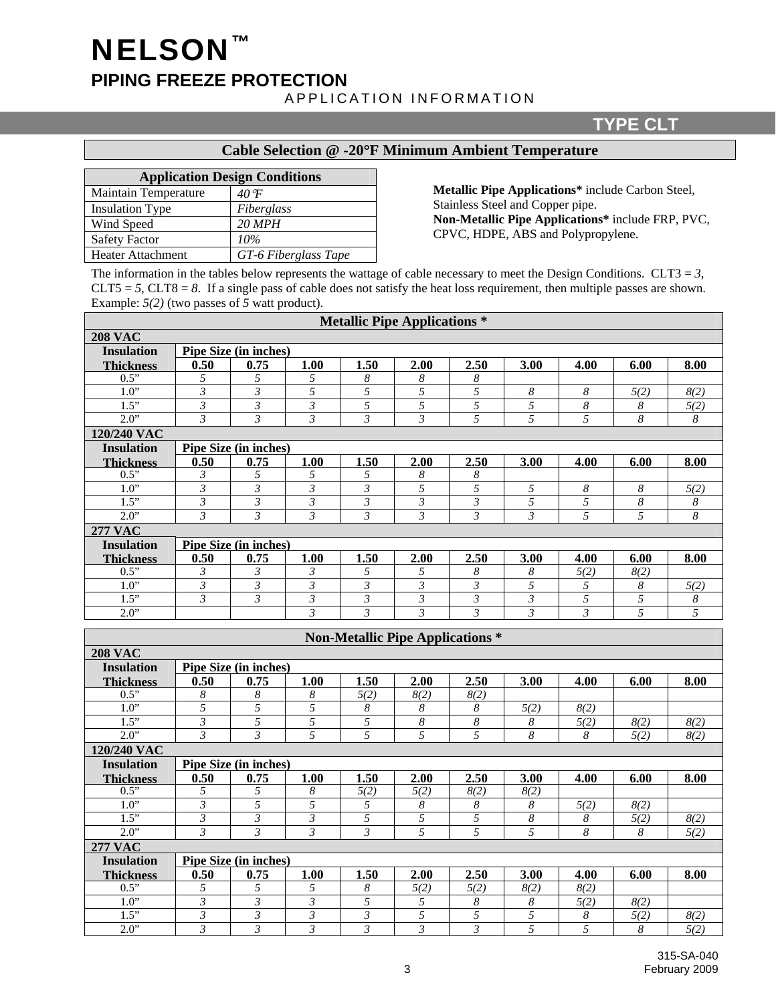# NELSON™ **PIPING FREEZE PROTECTION**  APPLICATION INFORMATION

## **TYPE CLT**

#### **Cable Selection @ -20**°**F Minimum Ambient Temperature**

| <b>Application Design Conditions</b> |                      |  |  |  |  |  |  |  |
|--------------------------------------|----------------------|--|--|--|--|--|--|--|
| Maintain Temperature                 | $40^{\circ}F$        |  |  |  |  |  |  |  |
| <b>Insulation Type</b>               | Fiberglass           |  |  |  |  |  |  |  |
| Wind Speed                           | $20$ MPH             |  |  |  |  |  |  |  |
| <b>Safety Factor</b>                 | 10%                  |  |  |  |  |  |  |  |
| Heater Attachment                    | GT-6 Fiberglass Tape |  |  |  |  |  |  |  |

**Metallic Pipe Applications\*** include Carbon Steel, Stainless Steel and Copper pipe. **Non-Metallic Pipe Applications\*** include FRP, PVC, CPVC, HDPE, ABS and Polypropylene.

The information in the tables below represents the wattage of cable necessary to meet the Design Conditions. CLT3 =  $3$ , CLT5  $=$  5, CLT8  $=$  8. If a single pass of cable does not satisfy the heat loss requirement, then multiple passes are shown. Example: *5(2)* (two passes of *5* watt product).

|                   | <b>Metallic Pipe Applications *</b> |                       |                |                |                |                |      |      |      |      |  |
|-------------------|-------------------------------------|-----------------------|----------------|----------------|----------------|----------------|------|------|------|------|--|
| <b>208 VAC</b>    |                                     |                       |                |                |                |                |      |      |      |      |  |
| <b>Insulation</b> | Pipe Size (in inches)               |                       |                |                |                |                |      |      |      |      |  |
| <b>Thickness</b>  | 0.50                                | 0.75                  | 1.00           | 1.50           | 2.00           | 2.50           | 3.00 | 4.00 | 6.00 | 8.00 |  |
| 0.5"              | 5                                   | 5                     | 5              | 8              | 8              | 8              |      |      |      |      |  |
| 1.0"              | 3                                   | 3                     | 5              | 5              | 5              | 5              | 8    | 8    | 5(2) | 8(2) |  |
| 1.5"              | $\mathfrak{Z}$                      | 3                     | $\mathfrak{Z}$ | 5              | 5              | 5              | 5    | 8    | 8    | 5(2) |  |
| 2.0"              | 3                                   | 3                     | 3              | $\mathfrak{Z}$ | $\mathfrak{Z}$ | 5              | 5    | 5    | 8    | 8    |  |
| 120/240 VAC       |                                     |                       |                |                |                |                |      |      |      |      |  |
| <b>Insulation</b> | Pipe Size (in inches)               |                       |                |                |                |                |      |      |      |      |  |
| <b>Thickness</b>  | 0.50                                | 0.75                  | 1.00           | 1.50           | 2.00           | 2.50           | 3.00 | 4.00 | 6.00 | 8.00 |  |
| 0.5"              | 3                                   | 5                     | 5              | 5              | 8              | 8              |      |      |      |      |  |
| 1.0"              | 3                                   | 3                     | $\mathfrak{Z}$ | $\mathfrak{Z}$ | 5              | 5              | 5    | 8    | 8    | 5(2) |  |
| 1.5"              | 3                                   | 3                     | 3              | $\mathfrak{Z}$ | 3              | $\mathfrak{Z}$ | 5    | 5    | 8    | 8    |  |
| 2.0"              | 3                                   | 3                     | 3              | 3              | 3              | 3              | 3    | 5    | 5    | 8    |  |
| <b>277 VAC</b>    |                                     |                       |                |                |                |                |      |      |      |      |  |
| <b>Insulation</b> |                                     | Pipe Size (in inches) |                |                |                |                |      |      |      |      |  |
| <b>Thickness</b>  | 0.50                                | 0.75                  | 1.00           | 1.50           | 2.00           | 2.50           | 3.00 | 4.00 | 6.00 | 8.00 |  |
| 0.5"              | 3                                   | 3                     | 3              | 5              | 5              | 8              | 8    | 5(2) | 8(2) |      |  |
| 1.0"              | 3                                   | 3                     | $\mathfrak{Z}$ | $\mathfrak{Z}$ | 3              | 3              | 5    | 5    | 8    | 5(2) |  |
| 1.5"              | 3                                   | 3                     | $\mathfrak{Z}$ | $\mathfrak{Z}$ | 3              | 3              | 3    | 5    | 5    | 8    |  |
| 2.0"              |                                     |                       | $\mathfrak{Z}$ | $\mathfrak{Z}$ | 3              | $\mathfrak{Z}$ | 3    | 3    | 5    | 5    |  |

| <b>Non-Metallic Pipe Applications *</b> |                       |                       |      |      |      |                |                  |      |      |      |
|-----------------------------------------|-----------------------|-----------------------|------|------|------|----------------|------------------|------|------|------|
| <b>208 VAC</b>                          |                       |                       |      |      |      |                |                  |      |      |      |
| <b>Insulation</b>                       |                       | Pipe Size (in inches) |      |      |      |                |                  |      |      |      |
| <b>Thickness</b>                        | 0.50                  | 0.75                  | 1.00 | 1.50 | 2.00 | 2.50           | 3.00             | 4.00 | 6.00 | 8.00 |
| 0.5"                                    | 8                     | 8                     | 8    | 5(2) | 8(2) | 8(2)           |                  |      |      |      |
| 1.0"                                    | 5                     | 5                     | 5    | 8    | 8    | 8              | 5(2)             | 8(2) |      |      |
| 1.5"                                    | 3                     | 5                     | 5    | 5    | 8    | 8              | 8                | 5(2) | 8(2) | 8(2) |
| 2.0"                                    | 3                     | 3                     | 5    | 5    | 5    | 5              | $\boldsymbol{8}$ | 8    | 5(2) | 8(2) |
| 120/240 VAC                             |                       |                       |      |      |      |                |                  |      |      |      |
| <b>Insulation</b>                       | Pipe Size (in inches) |                       |      |      |      |                |                  |      |      |      |
| <b>Thickness</b>                        | 0.50                  | 0.75                  | 1.00 | 1.50 | 2.00 | 2.50           | 3.00             | 4.00 | 6.00 | 8.00 |
| 0.5"                                    | 5                     | 5                     | 8    | 5(2) | 5(2) | 8(2)           | 8(2)             |      |      |      |
| 1.0"                                    | 3                     | 5                     | 5    | 5    | 8    | 8              | 8                | 5(2) | 8(2) |      |
| 1.5"                                    | 3                     | $\mathfrak{Z}$        | 3    | 5    | 5    | 5              | 8                | 8    | 5(2) | 8(2) |
| 2.0"                                    | 3                     | 3                     | 3    | 3    | 5    | 5              | 5                | 8    | 8    | 5(2) |
| <b>277 VAC</b>                          |                       |                       |      |      |      |                |                  |      |      |      |
| <b>Insulation</b>                       |                       | Pipe Size (in inches) |      |      |      |                |                  |      |      |      |
| <b>Thickness</b>                        | 0.50                  | 0.75                  | 1.00 | 1.50 | 2.00 | 2.50           | 3.00             | 4.00 | 6.00 | 8.00 |
| 0.5"                                    | 5.                    | 5                     | 5    | 8    | 5(2) | 5(2)           | 8(2)             | 8(2) |      |      |
| 1.0"                                    | 3                     | 3                     | 3    | 5    | 5    | 8              | 8                | 5(2) | 8(2) |      |
| 1.5"                                    | $\mathfrak{Z}$        | $\mathfrak{Z}$        | 3    | 3    | 5    | 5              | 5                | 8    | 5(2) | 8(2) |
| 2.0"                                    | 3                     | 3                     | 3    | 3    | 3    | $\mathfrak{Z}$ | 5                | 5    | 8    | 5(2) |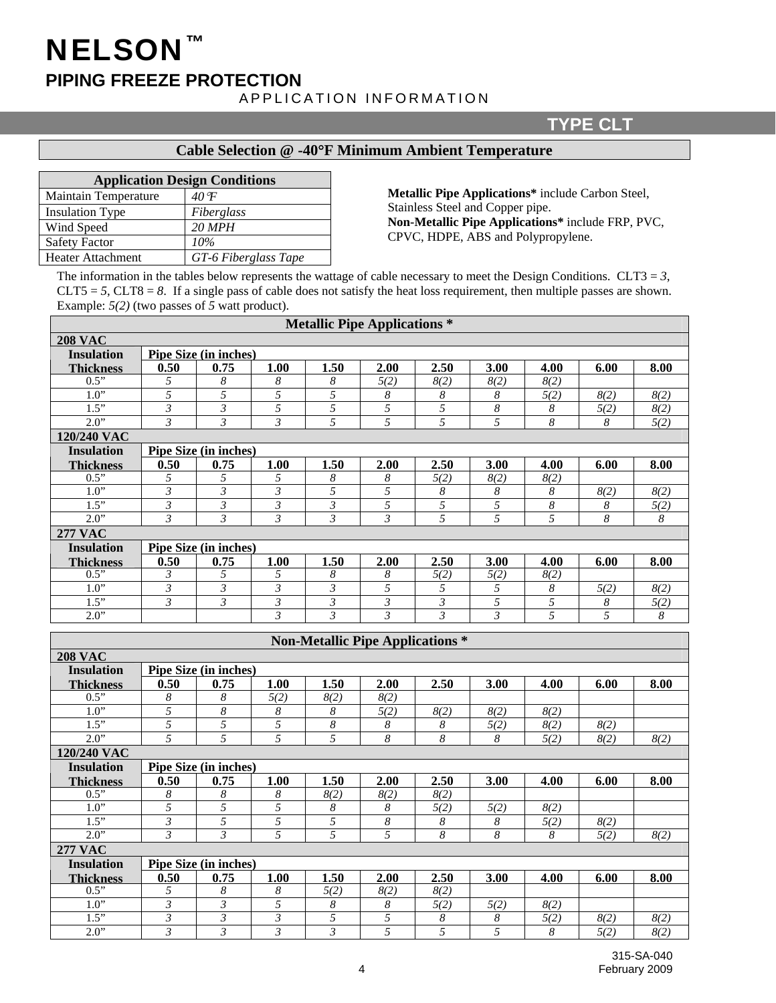# **PIPING FREEZE PROTECTION**

NELSON™

#### APPLICATION INFORMATION

#### **TYPE CLT**

## **Cable Selection @ -40**°**F Minimum Ambient Temperature**

| <b>Application Design Conditions</b> |                      |  |  |  |  |  |  |  |  |
|--------------------------------------|----------------------|--|--|--|--|--|--|--|--|
| Maintain Temperature                 | $40^{\circ}F$        |  |  |  |  |  |  |  |  |
| <b>Insulation Type</b>               | Fiberglass           |  |  |  |  |  |  |  |  |
| Wind Speed                           | $20$ MPH             |  |  |  |  |  |  |  |  |
| <b>Safety Factor</b>                 | 10%                  |  |  |  |  |  |  |  |  |
| Heater Attachment                    | GT-6 Fiberglass Tape |  |  |  |  |  |  |  |  |

**Metallic Pipe Applications\*** include Carbon Steel, Stainless Steel and Copper pipe. **Non-Metallic Pipe Applications\*** include FRP, PVC, CPVC, HDPE, ABS and Polypropylene.

The information in the tables below represents the wattage of cable necessary to meet the Design Conditions. CLT3 =  $3$ ,  $CLT5 = 5$ ,  $CLT8 = 8$ . If a single pass of cable does not satisfy the heat loss requirement, then multiple passes are shown. Example: *5(2)* (two passes of *5* watt product).

| <b>Metallic Pipe Applications *</b> |                              |                       |                |                |      |      |      |      |      |      |  |
|-------------------------------------|------------------------------|-----------------------|----------------|----------------|------|------|------|------|------|------|--|
| <b>208 VAC</b>                      |                              |                       |                |                |      |      |      |      |      |      |  |
| <b>Insulation</b>                   | Pipe Size (in inches)        |                       |                |                |      |      |      |      |      |      |  |
| <b>Thickness</b>                    | 0.50                         | 0.75                  | 1.00           | 1.50           | 2.00 | 2.50 | 3.00 | 4.00 | 6.00 | 8.00 |  |
| 0.5"                                | 5                            | 8                     | 8              | 8              | 5(2) | 8(2) | 8(2) | 8(2) |      |      |  |
| 1.0"                                | 5                            | 5                     | 5              | 5              | 8    | 8    | 8    | 5(2) | 8(2) | 8(2) |  |
| 1.5"                                | 3                            | 3                     | 5              | 5              | 5    | 5    | 8    | 8    | 5(2) | 8(2) |  |
| 2.0"                                | 3                            | 3                     | $\mathfrak{Z}$ | 5              | 5    | 5    | 5    | 8    | 8    | 5(2) |  |
| 120/240 VAC                         |                              |                       |                |                |      |      |      |      |      |      |  |
| <b>Insulation</b>                   | <b>Pipe Size (in inches)</b> |                       |                |                |      |      |      |      |      |      |  |
| <b>Thickness</b>                    | 0.50                         | 0.75                  | 1.00           | 1.50           | 2.00 | 2.50 | 3.00 | 4.00 | 6.00 | 8.00 |  |
| 0.5"                                | 5                            | 5                     | 5              | 8              | 8    | 5(2) | 8(2) | 8(2) |      |      |  |
| 1.0"                                | 3                            | 3                     | 3              | 5              | 5    | 8    | 8    | 8    | 8(2) | 8(2) |  |
| 1.5"                                | 3                            | 3                     | 3              | 3              | 5    | 5    | 5    | 8    | 8    | 5(2) |  |
| 2.0"                                | 3                            | 3                     | $\mathfrak{Z}$ | $\mathfrak{Z}$ | 3    | 5    | 5    | 5    | 8    | 8    |  |
| <b>277 VAC</b>                      |                              |                       |                |                |      |      |      |      |      |      |  |
| <b>Insulation</b>                   |                              | Pipe Size (in inches) |                |                |      |      |      |      |      |      |  |
| <b>Thickness</b>                    | 0.50                         | 0.75                  | 1.00           | 1.50           | 2.00 | 2.50 | 3.00 | 4.00 | 6.00 | 8.00 |  |
| 0.5"                                | 3                            | 5                     | 5              | 8              | 8    | 5(2) | 5(2) | 8(2) |      |      |  |
| 1.0"                                | 3                            | 3                     | $\mathfrak{Z}$ | $\mathfrak{Z}$ | 5    | 5    | 5    | 8    | 5(2) | 8(2) |  |
| 1.5"                                | 3                            | 3                     | 3              | 3              | 3    | 3    | 5    | 5    | 8    | 5(2) |  |
| 2.0"                                |                              |                       | 3              | 3              | 3    | 3    | 3    | 5    | 5    | 8    |  |

| <b>Non-Metallic Pipe Applications *</b> |                       |                       |                |      |      |      |      |      |      |      |  |
|-----------------------------------------|-----------------------|-----------------------|----------------|------|------|------|------|------|------|------|--|
| <b>208 VAC</b>                          |                       |                       |                |      |      |      |      |      |      |      |  |
| <b>Insulation</b>                       | Pipe Size (in inches) |                       |                |      |      |      |      |      |      |      |  |
| <b>Thickness</b>                        | 0.50                  | 0.75                  | 1.00           | 1.50 | 2.00 | 2.50 | 3.00 | 4.00 | 6.00 | 8.00 |  |
| 0.5"                                    | 8                     | 8                     | 5(2)           | 8(2) | 8(2) |      |      |      |      |      |  |
| 1.0"                                    | 5                     | 8                     | 8              | 8    | 5(2) | 8(2) | 8(2) | 8(2) |      |      |  |
| 1.5"                                    | 5                     | 5                     | 5              | 8    | 8    | 8    | 5(2) | 8(2) | 8(2) |      |  |
| 2.0"                                    | 5                     | 5                     | 5              | 5    | 8    | 8    | 8    | 5(2) | 8(2) | 8(2) |  |
| 120/240 VAC                             |                       |                       |                |      |      |      |      |      |      |      |  |
| <b>Insulation</b>                       | Pipe Size (in inches) |                       |                |      |      |      |      |      |      |      |  |
| <b>Thickness</b>                        | 0.50                  | 0.75                  | 1.00           | 1.50 | 2.00 | 2.50 | 3.00 | 4.00 | 6.00 | 8.00 |  |
| 0.5"                                    | 8                     | 8                     | 8              | 8(2) | 8(2) | 8(2) |      |      |      |      |  |
| 1.0"                                    | 5                     | 5                     | 5              | 8    | 8    | 5(2) | 5(2) | 8(2) |      |      |  |
| 1.5"                                    | 3                     | 5                     | 5              | 5    | 8    | 8    | 8    | 5(2) | 8(2) |      |  |
| 2.0"                                    | 3                     | 3                     | 5              | 5    | 5    | 8    | 8    | 8    | 5(2) | 8(2) |  |
| <b>277 VAC</b>                          |                       |                       |                |      |      |      |      |      |      |      |  |
| <b>Insulation</b>                       |                       | Pipe Size (in inches) |                |      |      |      |      |      |      |      |  |
| <b>Thickness</b>                        | 0.50                  | 0.75                  | 1.00           | 1.50 | 2.00 | 2.50 | 3.00 | 4.00 | 6.00 | 8.00 |  |
| 0.5"                                    | 5                     | 8                     | 8              | 5(2) | 8(2) | 8(2) |      |      |      |      |  |
| 1.0"                                    | 3                     | 3                     | 5              | 8    | 8    | 5(2) | 5(2) | 8(2) |      |      |  |
| 1.5"                                    | 3                     | $\mathfrak{Z}$        | $\mathfrak{Z}$ | 5    | 5    | 8    | 8    | 5(2) | 8(2) | 8(2) |  |
| 2.0"                                    | 3                     | 3                     | $\mathfrak{Z}$ | 3    | 5    | 5    | 5    | 8    | 5(2) | 8(2) |  |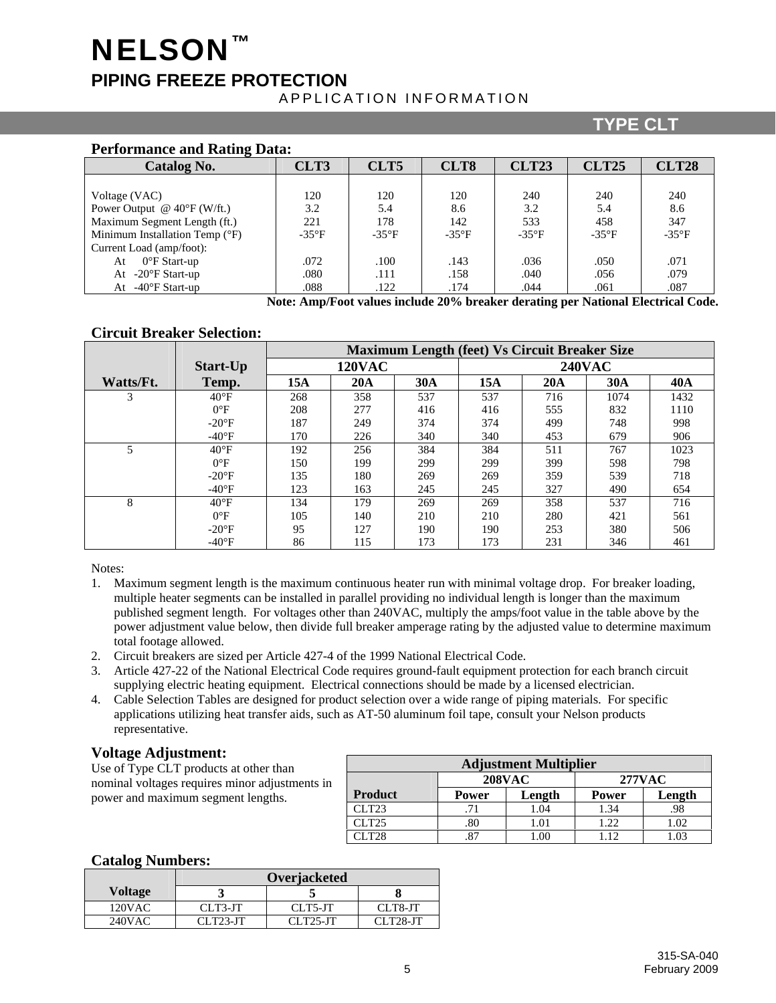# **NELSON PIPING FREEZE PROTECTION**  APPLICATION INFORMATION

## **TYPE CLT**

| <b>Performance and Rating Data:</b>   |                |                |                |                |                |                |  |  |  |  |  |
|---------------------------------------|----------------|----------------|----------------|----------------|----------------|----------------|--|--|--|--|--|
| <b>Catalog No.</b>                    | CLT3           | CLT5           | CLT8           | <b>CLT23</b>   | <b>CLT25</b>   | <b>CLT28</b>   |  |  |  |  |  |
|                                       |                |                |                |                |                |                |  |  |  |  |  |
| Voltage (VAC)                         | 120            | 120            | 120            | 240            | 240            | 240            |  |  |  |  |  |
| Power Output @ $40^{\circ}$ F (W/ft.) | 3.2            | 5.4            | 8.6            | 3.2            | 5.4            | 8.6            |  |  |  |  |  |
| Maximum Segment Length (ft.)          | 221            | 178            | 142            | 533            | 458            | 347            |  |  |  |  |  |
| Minimum Installation Temp (°F)        | $-35^{\circ}F$ | $-35^{\circ}F$ | $-35^{\circ}F$ | $-35^{\circ}F$ | $-35^{\circ}F$ | $-35^{\circ}F$ |  |  |  |  |  |
| Current Load (amp/foot):              |                |                |                |                |                |                |  |  |  |  |  |
| $0^{\circ}$ F Start-up<br>At          | .072           | .100           | .143           | .036           | .050           | .071           |  |  |  |  |  |
| At $-20^{\circ}$ F Start-up           | .080           | .111           | .158           | .040           | .056           | .079           |  |  |  |  |  |
| At $-40^{\circ}$ F Start-up           | .088           | .122           | .174           | .044           | .061           | .087           |  |  |  |  |  |

**Note: Amp/Foot values include 20% breaker derating per National Electrical Code.** 

#### **Circuit Breaker Selection:**

|           |                 | <b>Maximum Length (feet) Vs Circuit Breaker Size</b> |               |     |     |     |               |            |  |
|-----------|-----------------|------------------------------------------------------|---------------|-----|-----|-----|---------------|------------|--|
|           | Start-Up        |                                                      | <b>120VAC</b> |     |     |     | <b>240VAC</b> |            |  |
| Watts/Ft. | Temp.           | 15A                                                  | 20A           | 30A | 15A | 20A | 30A           | <b>40A</b> |  |
| 3         | $40^{\circ}$ F  | 268                                                  | 358           | 537 | 537 | 716 | 1074          | 1432       |  |
|           | $0^{\circ}F$    | 208                                                  | 277           | 416 | 416 | 555 | 832           | 1110       |  |
|           | $-20^{\circ}F$  | 187                                                  | 249           | 374 | 374 | 499 | 748           | 998        |  |
|           | $-40^{\circ}F$  | 170                                                  | 226           | 340 | 340 | 453 | 679           | 906        |  |
|           | $40^{\circ}F$   | 192                                                  | 256           | 384 | 384 | 511 | 767           | 1023       |  |
|           | $0^{\circ}$ F   | 150                                                  | 199           | 299 | 299 | 399 | 598           | 798        |  |
|           | $-20^{\circ}F$  | 135                                                  | 180           | 269 | 269 | 359 | 539           | 718        |  |
|           | $-40^{\circ}$ F | 123                                                  | 163           | 245 | 245 | 327 | 490           | 654        |  |
| 8         | $40^{\circ}F$   | 134                                                  | 179           | 269 | 269 | 358 | 537           | 716        |  |
|           | $0^{\circ}F$    | 105                                                  | 140           | 210 | 210 | 280 | 421           | 561        |  |
|           | $-20^\circ F$   | 95                                                   | 127           | 190 | 190 | 253 | 380           | 506        |  |
|           | $-40^{\circ}F$  | 86                                                   | 115           | 173 | 173 | 231 | 346           | 461        |  |

Notes:

- 1. Maximum segment length is the maximum continuous heater run with minimal voltage drop. For breaker loading, multiple heater segments can be installed in parallel providing no individual length is longer than the maximum published segment length. For voltages other than 240VAC, multiply the amps/foot value in the table above by the power adjustment value below, then divide full breaker amperage rating by the adjusted value to determine maximum total footage allowed.
- 2. Circuit breakers are sized per Article 427-4 of the 1999 National Electrical Code.
- 3. Article 427-22 of the National Electrical Code requires ground-fault equipment protection for each branch circuit supplying electric heating equipment. Electrical connections should be made by a licensed electrician.
- 4. Cable Selection Tables are designed for product selection over a wide range of piping materials. For specific applications utilizing heat transfer aids, such as AT-50 aluminum foil tape, consult your Nelson products representative.

#### **Voltage Adjustment:**

Use of Type CLT products at other than nominal voltages requires minor adjustments in power and maximum segment lengths.

| <b>Adjustment Multiplier</b>   |              |        |              |        |  |  |  |  |  |  |
|--------------------------------|--------------|--------|--------------|--------|--|--|--|--|--|--|
| <b>277VAC</b><br><b>208VAC</b> |              |        |              |        |  |  |  |  |  |  |
| <b>Product</b>                 | <b>Power</b> | Length | <b>Power</b> | Length |  |  |  |  |  |  |
| CLT23                          | .71          | 1.04   | 1.34         | .98    |  |  |  |  |  |  |
| CLT25                          | .80          | 1.01   | 1.22         | 1.02   |  |  |  |  |  |  |
| LT28                           | 87           | .00    | 1.12         | .02    |  |  |  |  |  |  |

#### **Catalog Numbers:**

|                | Overjacketed |            |            |  |
|----------------|--------------|------------|------------|--|
| <b>Voltage</b> |              |            |            |  |
| $120$ VAC      | CLT3-JT      | CLT5-JT    | CLT8-JT    |  |
| 240VAC         | $CLT23-JT$   | $CLT25-TT$ | $CLT28-JT$ |  |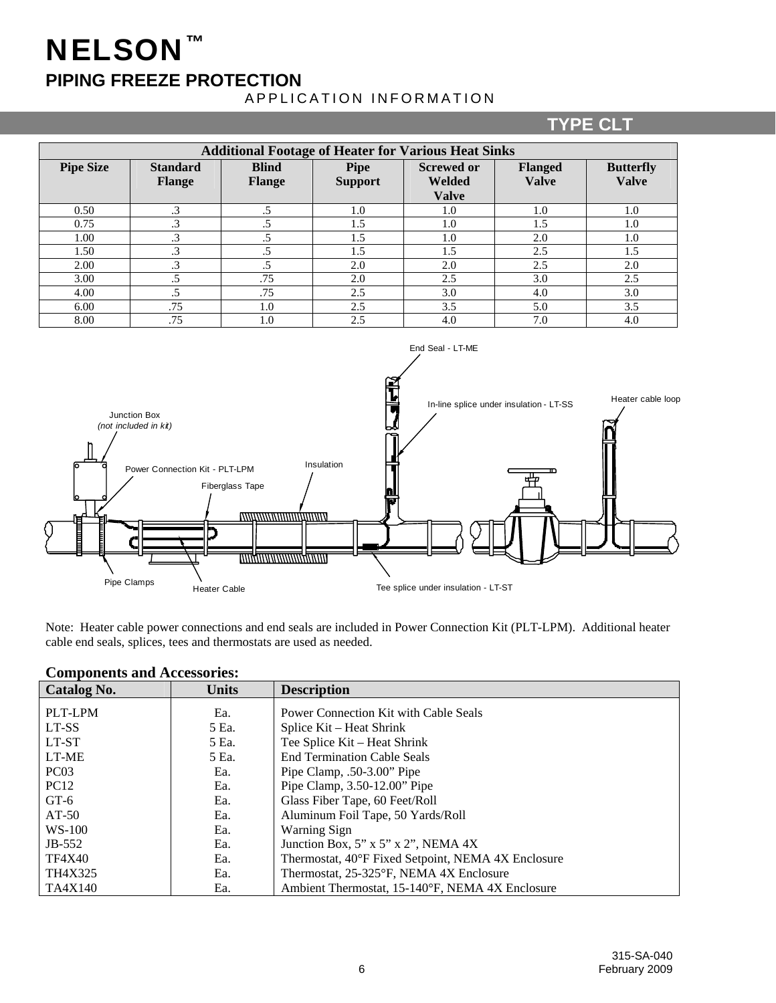# NELSON™

# **PIPING FREEZE PROTECTION**

## APPLICATION INFORMATION

# **TYPE CLT**

| <b>Additional Footage of Heater for Various Heat Sinks</b> |                                  |                               |                               |                                                    |                                |                                  |
|------------------------------------------------------------|----------------------------------|-------------------------------|-------------------------------|----------------------------------------------------|--------------------------------|----------------------------------|
| <b>Pipe Size</b>                                           | <b>Standard</b><br><b>Flange</b> | <b>Blind</b><br><b>Flange</b> | <b>Pipe</b><br><b>Support</b> | <b>Screwed or</b><br><b>Welded</b><br><b>Valve</b> | <b>Flanged</b><br><b>Valve</b> | <b>Butterfly</b><br><b>Valve</b> |
| 0.50                                                       | $\cdot$ 3                        |                               | 1.0                           | 1.0                                                | 1.0                            | 1.0                              |
| 0.75                                                       | .3                               | .5                            | 1.5                           | 1.0                                                | 1.5                            | 1.0                              |
| 1.00                                                       | .3                               | .5                            | 1.5                           | 1.0                                                | 2.0                            | 1.0                              |
| 1.50                                                       | $\cdot$ 3                        |                               | 1.5                           | 1.5                                                | 2.5                            | 1.5                              |
| 2.00                                                       | .3                               |                               | 2.0                           | 2.0                                                | 2.5                            | 2.0                              |
| 3.00                                                       | .5                               | .75                           | 2.0                           | 2.5                                                | 3.0                            | 2.5                              |
| 4.00                                                       | $.5\,$                           | .75                           | 2.5                           | 3.0                                                | 4.0                            | 3.0                              |
| 6.00                                                       | .75                              | 1.0                           | 2.5                           | 3.5                                                | 5.0                            | 3.5                              |
| 8.00                                                       | .75                              | 1.0                           | 2.5                           | 4.0                                                | 7.0                            | 4.0                              |



Note: Heater cable power connections and end seals are included in Power Connection Kit (PLT-LPM). Additional heater cable end seals, splices, tees and thermostats are used as needed.

| Catalog No.      | <b>Units</b> | <b>Description</b>                                 |
|------------------|--------------|----------------------------------------------------|
| PLT-LPM          | Ea.          | Power Connection Kit with Cable Seals              |
| LT-SS            | 5 Ea.        | Splice Kit – Heat Shrink                           |
| LT-ST            | 5 Ea.        | Tee Splice Kit – Heat Shrink                       |
| LT-ME            | 5 Ea.        | <b>End Termination Cable Seals</b>                 |
| PC <sub>03</sub> | Ea.          | Pipe Clamp, $.50-3.00$ " Pipe                      |
| <b>PC12</b>      | Ea.          | Pipe Clamp, 3.50-12.00" Pipe                       |
| $GT-6$           | Ea.          | Glass Fiber Tape, 60 Feet/Roll                     |
| $AT-50$          | Ea.          | Aluminum Foil Tape, 50 Yards/Roll                  |
| $WS-100$         | Ea.          | <b>Warning Sign</b>                                |
| $JB-552$         | Ea.          | Junction Box, 5" x 5" x 2", NEMA 4X                |
| <b>TF4X40</b>    | Ea.          | Thermostat, 40°F Fixed Setpoint, NEMA 4X Enclosure |
| TH4X325          | Ea.          | Thermostat, 25-325°F, NEMA 4X Enclosure            |
| TA4X140          | Ea.          | Ambient Thermostat, 15-140°F, NEMA 4X Enclosure    |

#### **Components and Accessories:**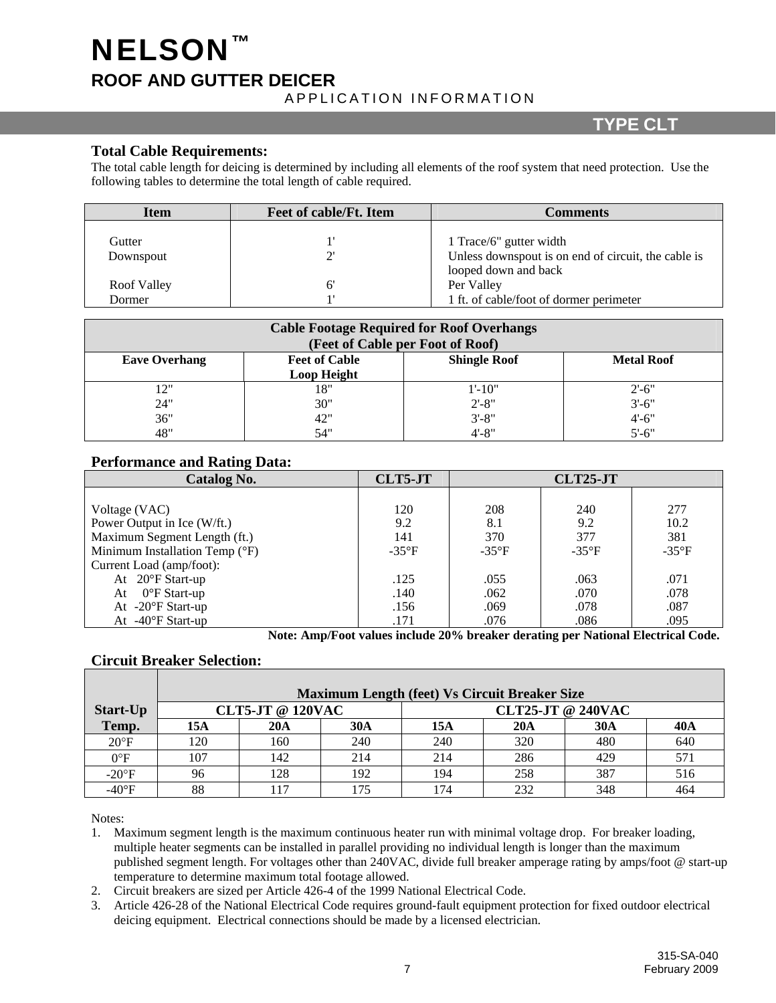# **NELSON ROOF AND GUTTER DEICER**  APPLICATION INFORMATION

## **TYPE CLT**

#### **Total Cable Requirements:**

The total cable length for deicing is determined by including all elements of the roof system that need protection. Use the following tables to determine the total length of cable required.

| <b>Item</b>        | <b>Feet of cable/Ft. Item</b> | <b>Comments</b>                                     |
|--------------------|-------------------------------|-----------------------------------------------------|
|                    |                               |                                                     |
| Gutter             |                               | 1 Trace/6" gutter width                             |
| Downspout          |                               | Unless downspout is on end of circuit, the cable is |
|                    |                               | looped down and back                                |
| <b>Roof Valley</b> |                               | Per Valley                                          |
| Dormer             |                               | 1 ft. of cable/foot of dormer perimeter             |

| <b>Cable Footage Required for Roof Overhangs</b><br>(Feet of Cable per Foot of Roof) |                                     |                     |                   |  |  |
|--------------------------------------------------------------------------------------|-------------------------------------|---------------------|-------------------|--|--|
| <b>Eave Overhang</b>                                                                 | <b>Feet of Cable</b><br>Loop Height | <b>Shingle Roof</b> | <b>Metal Roof</b> |  |  |
| 12"                                                                                  | 18"                                 | $1'$ -10"           | $2' - 6''$        |  |  |
| 24"                                                                                  | 30"                                 | $2' - 8''$          | $3'-6$ "          |  |  |
| 36"                                                                                  | 42"                                 | $3' - 8''$          | $4' - 6''$        |  |  |
| 48"                                                                                  | 54"                                 | $4' - 8''$          | $5' - 6''$        |  |  |

#### **Performance and Rating Data:**

| Catalog No.                    | CLT5-JT        |                | <b>CLT25-JT</b> |                |
|--------------------------------|----------------|----------------|-----------------|----------------|
|                                |                |                |                 |                |
| Voltage (VAC)                  | 120            | 208            | 240             | 277            |
| Power Output in Ice (W/ft.)    | 9.2            | 8.1            | 9.2             | 10.2           |
| Maximum Segment Length (ft.)   | 141            | 370            | 377             | 381            |
| Minimum Installation Temp (°F) | $-35^{\circ}F$ | $-35^{\circ}F$ | $-35^{\circ}F$  | $-35^{\circ}F$ |
| Current Load (amp/foot):       |                |                |                 |                |
| At $20^{\circ}$ F Start-up     | .125           | .055           | .063            | .071           |
| $0^{\circ}$ F Start-up<br>At   | .140           | .062           | .070            | .078           |
| At $-20^{\circ}$ F Start-up    | .156           | .069           | .078            | .087           |
| At $-40^{\circ}$ F Start-up    | .171           | .076           | .086            | .095           |

**Note: Amp/Foot values include 20% breaker derating per National Electrical Code.** 

#### **Circuit Breaker Selection:**

|                | <b>Maximum Length (feet) Vs Circuit Breaker Size</b> |     |     |                          |     |     |     |
|----------------|------------------------------------------------------|-----|-----|--------------------------|-----|-----|-----|
| Start-Up       | <b>CLT5-JT @ 120VAC</b>                              |     |     | <b>CLT25-JT @ 240VAC</b> |     |     |     |
| Temp.          | 15A                                                  | 20A | 30A | 15A                      | 20A | 30A | 40A |
| $20^{\circ}F$  | 120                                                  | 160 | 240 | 240                      | 320 | 480 | 640 |
| $0^{\circ}F$   | 107                                                  | 142 | 214 | 214                      | 286 | 429 | 571 |
| $-20^{\circ}F$ | 96                                                   | 128 | 192 | 194                      | 258 | 387 | 516 |
| $-40^{\circ}F$ | 88                                                   | 17  | 75  | 174                      | 232 | 348 | 464 |

Notes:

1. Maximum segment length is the maximum continuous heater run with minimal voltage drop. For breaker loading, multiple heater segments can be installed in parallel providing no individual length is longer than the maximum published segment length. For voltages other than 240VAC, divide full breaker amperage rating by amps/foot @ start-up temperature to determine maximum total footage allowed.

- 2. Circuit breakers are sized per Article 426-4 of the 1999 National Electrical Code.
- 3. Article 426-28 of the National Electrical Code requires ground-fault equipment protection for fixed outdoor electrical deicing equipment. Electrical connections should be made by a licensed electrician.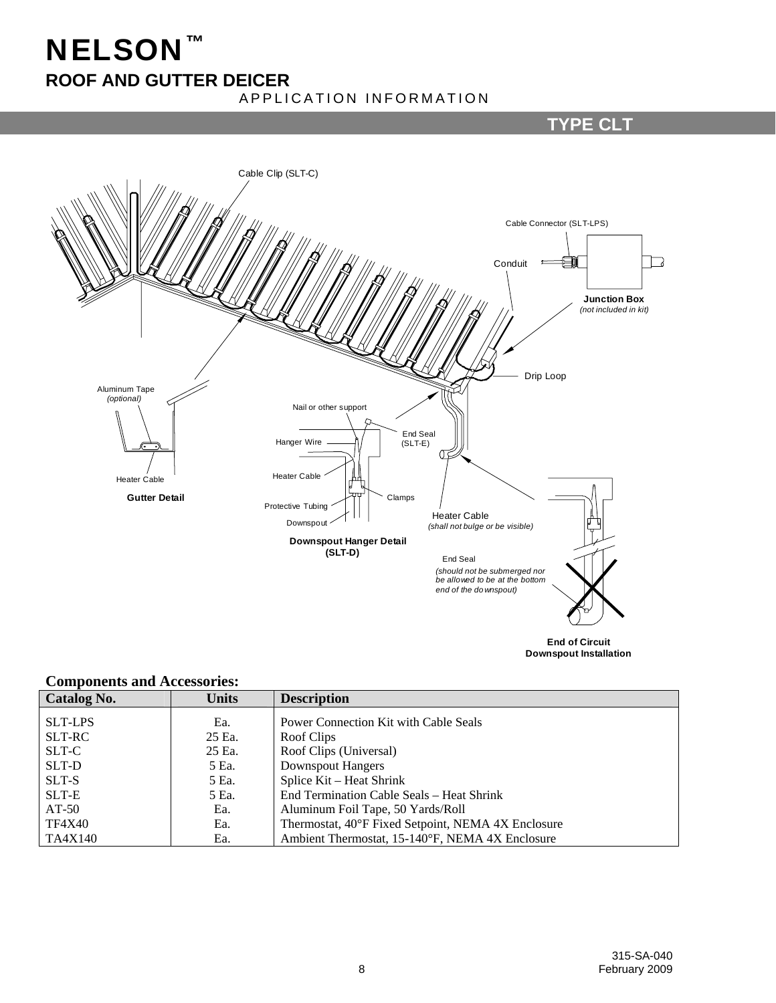# NELSON™ **ROOF AND GUTTER DEICER**

## APPLICATION INFORMATION

## **TYPE CLT**



# **Downspout Installation**

#### **Components and Accessories:**

| Catalog No.    | Units  | <b>Description</b>                                 |
|----------------|--------|----------------------------------------------------|
| <b>SLT-LPS</b> | Ea.    | Power Connection Kit with Cable Seals              |
| SLT-RC         | 25 Ea. | Roof Clips                                         |
| SLT-C          | 25 Ea. | Roof Clips (Universal)                             |
| SLT-D          | 5 Ea.  | <b>Downspout Hangers</b>                           |
| SLT-S          | 5 Ea.  | Splice Kit – Heat Shrink                           |
| SLT-E          | 5 Ea.  | End Termination Cable Seals – Heat Shrink          |
| $AT-50$        | Ea.    | Aluminum Foil Tape, 50 Yards/Roll                  |
| <b>TF4X40</b>  | Ea.    | Thermostat, 40°F Fixed Setpoint, NEMA 4X Enclosure |
| TA4X140        | Ea.    | Ambient Thermostat, 15-140°F, NEMA 4X Enclosure    |